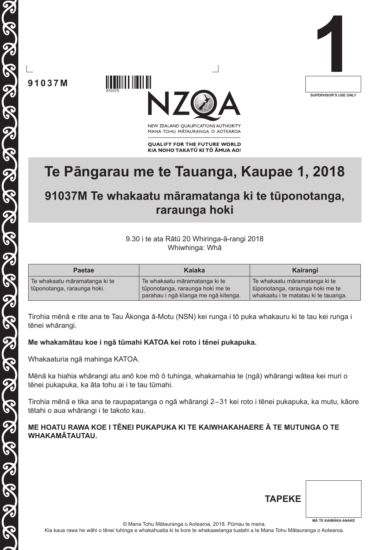

**91037M**

TECCO DE COLORE DE COLORE DE COLORE DE COLORE

8

910375



NEW ZEALAND OUALIFICATIONS AUTHORITY MANA TOHU MĀTAURANGA O AOTEAROA

**QUALIFY FOR THE FUTURE WORLD** KIA NOHO TAKATŪ KI TŌ ĀMUA AO!

# **Te Pāngarau me te Tauanga, Kaupae 1, 2018**

# **91037M Te whakaatu māramatanga ki te tūponotanga, raraunga hoki**

#### 9.30 i te ata Rātū 20 Whiringa-ā-rangi 2018 Whiwhinga: Whā

| <b>Paetae</b>                 | Kaiaka                               | Kairangi                             |
|-------------------------------|--------------------------------------|--------------------------------------|
| Te whakaatu māramatanga ki te | Te whakaatu māramatanga ki te        | Te whakaatu māramatanga ki te        |
| tūponotanga, raraunga hoki.   | tūponotanga, raraunga hoki me te     | tūponotanga, raraunga hoki me te     |
|                               | parahau i ngā kīanga me ngā kitenga. | whakaatu i te matatau ki te tauanga. |

Tirohia mēnā e rite ana te Tau Ākonga ā-Motu (NSN) kei runga i tō puka whakauru ki te tau kei runga i tēnei whārangi.

### **Me whakamātau koe i ngā tūmahi KATOA kei roto i tēnei pukapuka.**

Whakaaturia ngā mahinga KATOA.

Mēnā ka hiahia whārangi atu anō koe mō ō tuhinga, whakamahia te (ngā) whārangi wātea kei muri o tēnei pukapuka, ka āta tohu ai i te tau tūmahi.

Tirohia mēnā e tika ana te raupapatanga o ngā whārangi 2–31 kei roto i tēnei pukapuka, ka mutu, kāore tētahi o aua whārangi i te takoto kau.

#### **ME HOATU RAWA KOE I TĒNEI PUKAPUKA KI TE KAIWHAKAHAERE Ā TE MUTUNGA O TE WHAKAMĀTAUTAU.**

| <b>TAPEKE</b> |                            |
|---------------|----------------------------|
|               | <b>MĀ TE KAIMĀKA ANAKE</b> |

© Mana Tohu Mātauranga o Aotearoa, 2018. Pūmau te mana.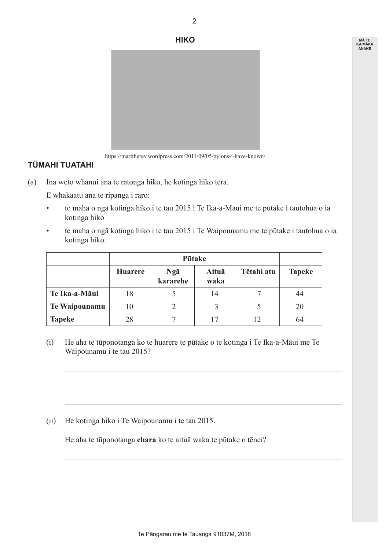

#### https://marttherev.wordpress.com/2011/09/05/pylons-i-have-known/

## **TŪMAHI TUATAHI**

(a) Ina weto whānui ana te ratonga hiko, he kotinga hiko tērā.

 E whakaatu ana te ripanga i raro:

- • te maha o ngā kotinga hiko i te tau 2015 i Te Ika-a-Māui me te pūtake i tautohua o ia kotinga hiko
- • te maha o ngā kotinga hiko i te tau 2015 i Te Waipounamu me te pūtake i tautohua o ia kotinga hiko.

|               |                |                 | Pūtake        |            |               |
|---------------|----------------|-----------------|---------------|------------|---------------|
|               | <b>Huarere</b> | Ngā<br>kararehe | Aituā<br>waka | Tētahi atu | <b>Tapeke</b> |
| Te Ika-a-Māui | 18             |                 | 14            |            | 44            |
| Te Waipounamu | 10             | $\overline{2}$  | 3             |            | 20            |
| <b>Tapeke</b> | 28             |                 |               |            | 64            |

 (i) He aha te tūponotanga ko te huarere te pūtake o te kotinga i Te Ika-a-Māui me Te Waipounamu i te tau 2015?

 (ii) He kotinga hiko i Te Waipounamu i te tau 2015.

 He aha te tūponotanga **ehara** ko te aituā waka te pūtake o tēnei?

2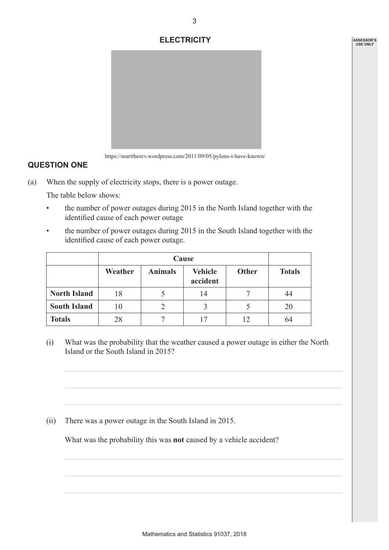#### **ELECTRICITY**



https://marttherev.wordpress.com/2011/09/05/pylons-i-have-known/

### **QUESTION ONE**

(a) When the supply of electricity stops, there is a power outage.

 The table below shows:

- the number of power outages during 2015 in the North Island together with the identified cause of each power outage
- the number of power outages during 2015 in the South Island together with the identified cause of each power outage.

|                     |         |                | Cause                      |              |               |
|---------------------|---------|----------------|----------------------------|--------------|---------------|
|                     | Weather | <b>Animals</b> | <b>Vehicle</b><br>accident | <b>Other</b> | <b>Totals</b> |
| <b>North Island</b> | 18      |                | 14                         |              | 44            |
| <b>South Island</b> | 10      |                |                            |              | 20            |
| <b>Totals</b>       | 28      |                |                            | 12           | 64            |

 (i) What was the probability that the weather caused a power outage in either the North Island or the South Island in 2015?

 (ii) There was a power outage in the South Island in 2015.

 What was the probability this was **not** caused by a vehicle accident?

3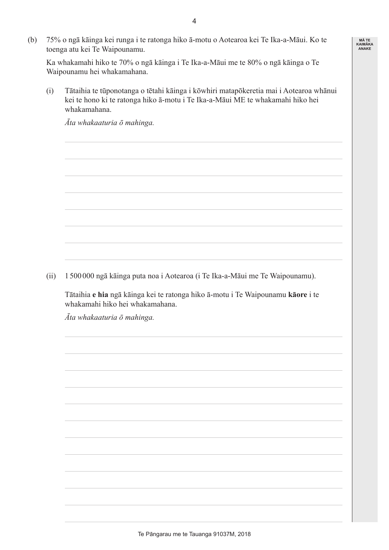(b) 75% o ngā kāinga kei runga i te ratonga hiko ā-motu o Aotearoa kei Te Ika-a-Māui. Ko te toenga atu kei Te Waipounamu.

 Ka whakamahi hiko te 70% o ngā kāinga i Te Ika-a-Māui me te 80% o ngā kāinga o Te Waipounamu hei whakamahana.

 (i) Tātaihia te tūponotanga o tētahi kāinga i kōwhiri matapōkeretia mai i Aotearoa whānui kei te hono ki te ratonga hiko ā-motu i Te Ika-a-Māui ME te whakamahi hiko hei whakamahana.

 *Āta whakaaturia ō mahinga.*

(ii) 1 500000 ngā kāinga puta noa i Aotearoa (i Te Ika-a-Māui me Te Waipounamu).

 Tātaihia **e hia** ngā kāinga kei te ratonga hiko ā-motu i Te Waipounamu **kāore** i te whakamahi hiko hei whakamahana.

*Āta whakaaturia ō mahinga.*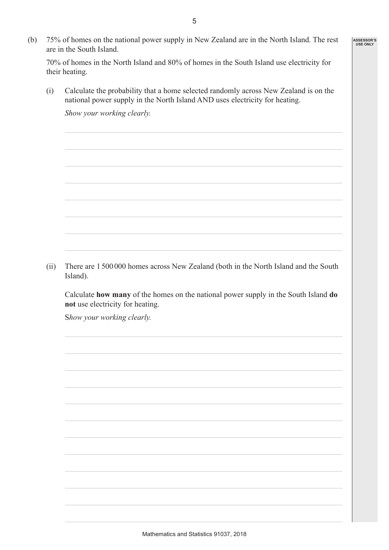(b) 75% of homes on the national power supply in New Zealand are in the North Island. The rest are in the South Island.

 70% of homes in the North Island and 80% of homes in the South Island use electricity for their heating.

 (i) Calculate the probability that a home selected randomly across New Zealand is on the national power supply in the North Island AND uses electricity for heating.

 *Show your working clearly.*

 (ii) There are 1500000 homes across New Zealand (both in the North Island and the South Island).

 Calculate **how many** of the homes on the national power supply in the South Island **do not** use electricity for heating.

 S*how your working clearly.*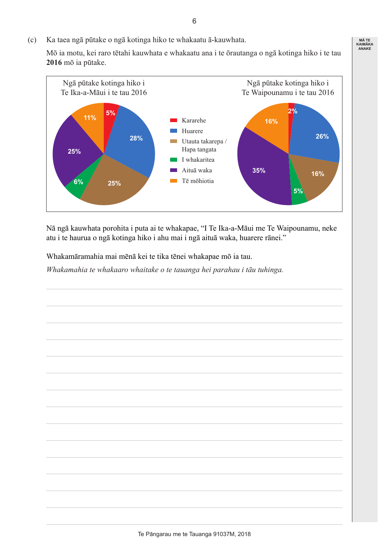(c) Ka taea ngā pūtake o ngā kotinga hiko te whakaatu ā-kauwhata.

 Mō ia motu, kei raro tētahi kauwhata e whakaatu ana i te ōrautanga o ngā kotinga hiko i te tau **2016** mō ia pūtake.



Nā ngā kauwhata porohita i puta ai te whakapae, "I Te Ika-a-Māui me Te Waipounamu, neke atu i te haurua o ngā kotinga hiko i ahu mai i ngā aituā waka, huarere rānei."

 Whakamāramahia mai mēnā kei te tika tēnei whakapae mō ia tau.

 *Whakamahia te whakaaro whaitake o te tauanga hei parahau i tāu tuhinga.*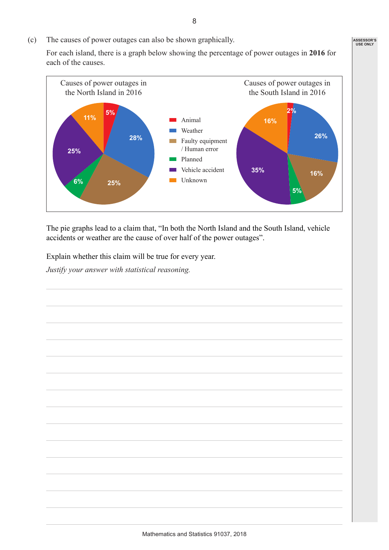(c) The causes of power outages can also be shown graphically.

 For each island, there is a graph below showing the percentage of power outages in **2016** for each of the causes.



The pie graphs lead to a claim that, "In both the North Island and the South Island, vehicle accidents or weather are the cause of over half of the power outages".

 Explain whether this claim will be true for every year.

 *Justify your answer with statistical reasoning.*

8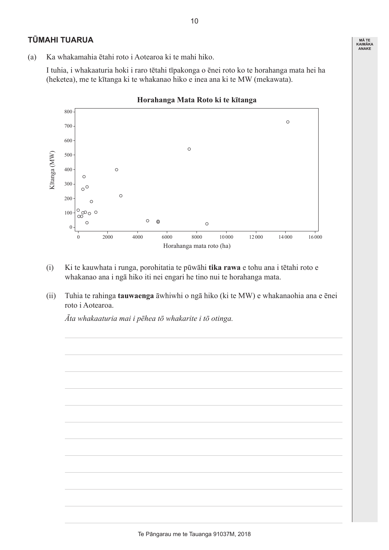### **TŪMAHI TUARUA**

(a) Ka whakamahia ētahi roto i Aotearoa ki te mahi hiko.

 I tuhia, i whakaaturia hoki i raro tētahi tīpakonga o ēnei roto ko te horahanga mata hei ha (heketea), me te kītanga ki te whakanao hiko e inea ana ki te MW (mekawata).



- (i) Ki te kauwhata i runga, porohitatia te pūwāhi **tika rawa** e tohu ana i tētahi roto e whakanao ana i ngā hiko iti nei engari he tino nui te horahanga mata.
- (ii) Tuhia te rahinga **tauwaenga** āwhiwhi o ngā hiko (ki te MW) e whakanaohia ana e ēnei roto i Aotearoa.

*Āta whakaaturia mai i pēhea tō whakarite i tō otinga.*

10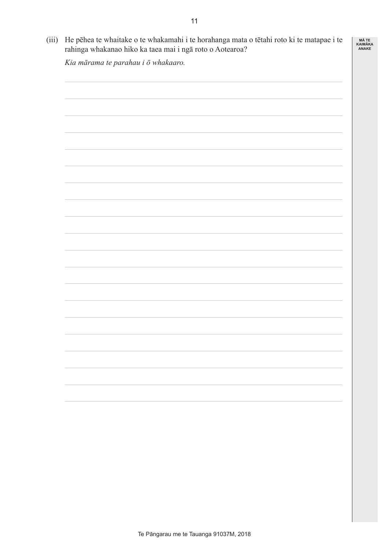| Kia mārama te parahau i ō whakaaro. |  |
|-------------------------------------|--|
|                                     |  |
|                                     |  |
|                                     |  |
|                                     |  |
|                                     |  |
|                                     |  |
|                                     |  |
|                                     |  |
|                                     |  |
|                                     |  |
|                                     |  |
|                                     |  |
|                                     |  |
|                                     |  |
|                                     |  |
|                                     |  |
|                                     |  |
|                                     |  |
|                                     |  |
|                                     |  |
|                                     |  |
|                                     |  |
|                                     |  |
|                                     |  |
|                                     |  |
|                                     |  |
|                                     |  |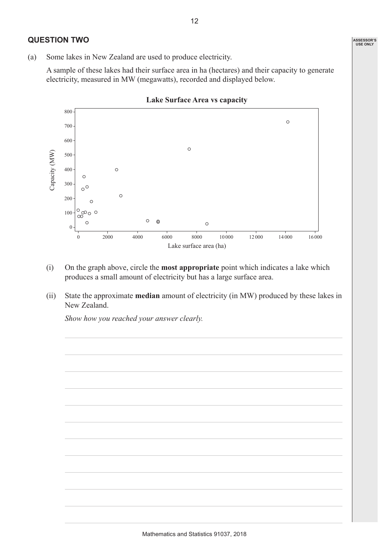#### **QUESTION TWO**

(a) Some lakes in New Zealand are used to produce electricity.

 A sample of these lakes had their surface area in ha (hectares) and their capacity to generate electricity, measured in MW (megawatts), recorded and displayed below.



- (i) On the graph above, circle the **most appropriate** point which indicates a lake which produces a small amount of electricity but has a large surface area.
- (ii) State the approximate **median** amount of electricity (in MW) produced by these lakes in New Zealand.

*Show how you reached your answer clearly.*

12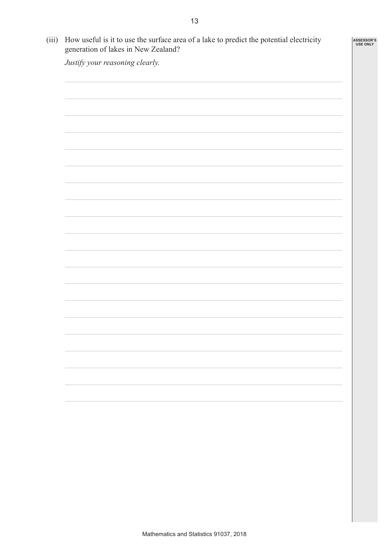$\mathbf{r}$ 

| Justify your reasoning clearly. |  |
|---------------------------------|--|
|                                 |  |
|                                 |  |
|                                 |  |
|                                 |  |
|                                 |  |
|                                 |  |
|                                 |  |
|                                 |  |
|                                 |  |
|                                 |  |
|                                 |  |
|                                 |  |
|                                 |  |
|                                 |  |
|                                 |  |
|                                 |  |
|                                 |  |
|                                 |  |
|                                 |  |
|                                 |  |
|                                 |  |
|                                 |  |
|                                 |  |
|                                 |  |
|                                 |  |
|                                 |  |
|                                 |  |
|                                 |  |
|                                 |  |
|                                 |  |
|                                 |  |
|                                 |  |
|                                 |  |
|                                 |  |
|                                 |  |
|                                 |  |
|                                 |  |
|                                 |  |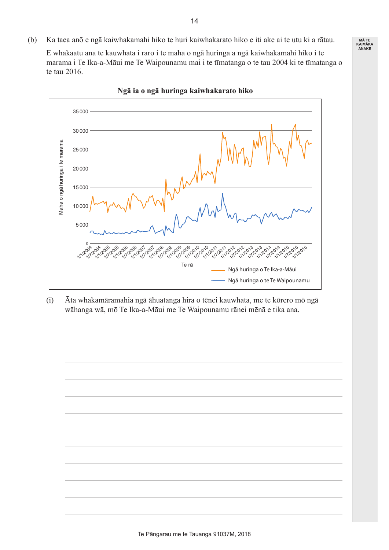(b) Ka taea anō e ngā kaiwhakamahi hiko te huri kaiwhakarato hiko e iti ake ai te utu ki a rātau.

 E whakaatu ana te kauwhata i raro i te maha o ngā huringa a ngā kaiwhakamahi hiko i te marama i Te Ika-a-Māui me Te Waipounamu mai i te tīmatanga o te tau 2004 ki te tīmatanga o te tau 2016.

**MĀ TE KAIMĀKA ANAKE**



**Ngā ia o ngā huringa kaiwhakarato hiko**

 (i) Āta whakamāramahia ngā āhuatanga hira o tēnei kauwhata, me te kōrero mō ngā wāhanga wā, mō Te Ika-a-Māui me Te Waipounamu rānei mēnā e tika ana.

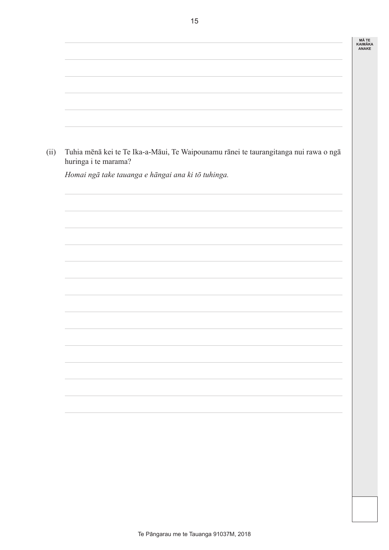| (ii) | Tuhia mēnā kei te Te Ika-a-Māui, Te Waipounamu rānei te taurangitanga nui rawa o ngā<br>huringa i te marama? |
|------|--------------------------------------------------------------------------------------------------------------|
|      | Homai ngā take tauanga e hāngai ana ki tō tuhinga.                                                           |
|      |                                                                                                              |
|      |                                                                                                              |
|      |                                                                                                              |
|      |                                                                                                              |
|      |                                                                                                              |
|      |                                                                                                              |
|      |                                                                                                              |
|      |                                                                                                              |
|      |                                                                                                              |
|      |                                                                                                              |
|      |                                                                                                              |
|      |                                                                                                              |
|      |                                                                                                              |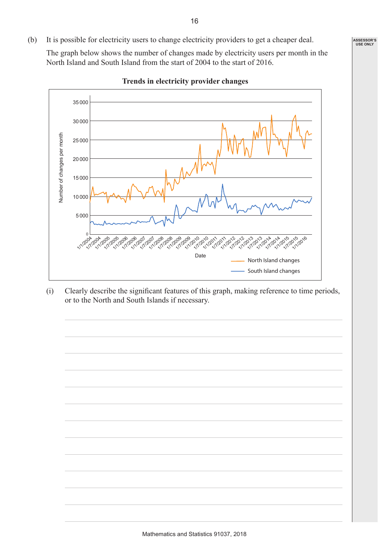(b) It is possible for electricity users to change electricity providers to get a cheaper deal.

 The graph below shows the number of changes made by electricity users per month in the North Island and South Island from the start of 2004 to the start of 2016.



**Trends in electricity provider changes**

 (i) Clearly describe the significant features of this graph, making reference to time periods, or to the North and South Islands if necessary.

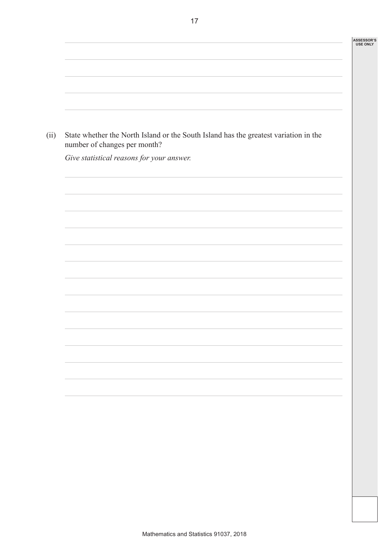| (ii) | State whether the North Island or the South Island has the greatest variation in the<br>number of changes per month? |  |
|------|----------------------------------------------------------------------------------------------------------------------|--|
|      | Give statistical reasons for your answer.                                                                            |  |
|      |                                                                                                                      |  |
|      |                                                                                                                      |  |
|      |                                                                                                                      |  |
|      |                                                                                                                      |  |
|      |                                                                                                                      |  |
|      |                                                                                                                      |  |
|      |                                                                                                                      |  |
|      |                                                                                                                      |  |
|      |                                                                                                                      |  |
|      |                                                                                                                      |  |
|      |                                                                                                                      |  |
|      |                                                                                                                      |  |

17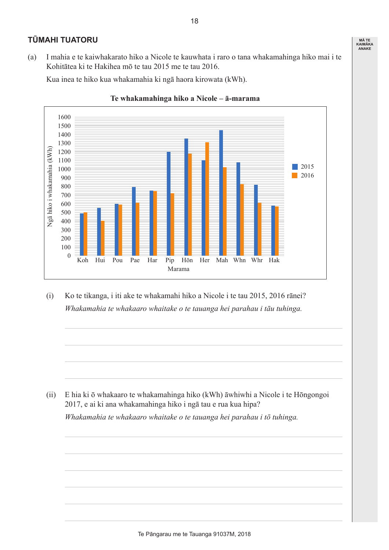### **TŪMAHI TUATORU**

(a) I mahia e te kaiwhakarato hiko a Nicole te kauwhata i raro o tana whakamahinga hiko mai i te Kohitātea ki te Hakihea mō te tau 2015 me te tau 2016.

 Kua inea te hiko kua whakamahia ki ngā haora kirowata (kWh).





 (i) Ko te tikanga, i iti ake te whakamahi hiko a Nicole i te tau 2015, 2016 rānei? *Whakamahia te whakaaro whaitake o te tauanga hei parahau i tāu tuhinga.*

 (ii) E hia ki ō whakaaro te whakamahinga hiko (kWh) āwhiwhi a Nicole i te Hōngongoi 2017, e ai ki ana whakamahinga hiko i ngā tau e rua kua hipa?

*Whakamahia te whakaaro whaitake o te tauanga hei parahau i tō tuhinga.*

18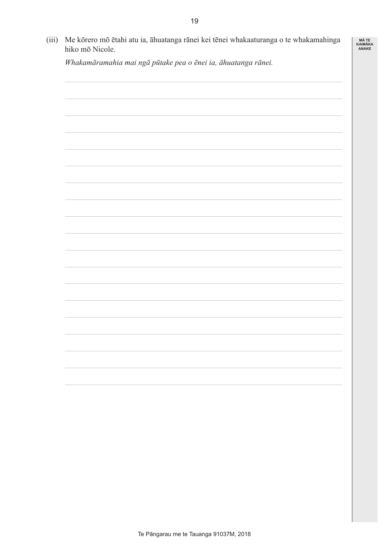| (iii) | Me kōrero mō ētahi atu ia, āhuatanga rānei kei tēnei whakaaturanga o te whakamahinga<br>hiko mō Nicole. |  |  |
|-------|---------------------------------------------------------------------------------------------------------|--|--|
|       | Whakamāramahia mai ngā pūtake pea o ēnei ia, āhuatanga rānei.                                           |  |  |
|       |                                                                                                         |  |  |
|       |                                                                                                         |  |  |
|       |                                                                                                         |  |  |
|       |                                                                                                         |  |  |
|       |                                                                                                         |  |  |
|       |                                                                                                         |  |  |
|       |                                                                                                         |  |  |
|       |                                                                                                         |  |  |
|       |                                                                                                         |  |  |
|       |                                                                                                         |  |  |
|       |                                                                                                         |  |  |
|       |                                                                                                         |  |  |
|       |                                                                                                         |  |  |
|       |                                                                                                         |  |  |
|       |                                                                                                         |  |  |
|       |                                                                                                         |  |  |
|       |                                                                                                         |  |  |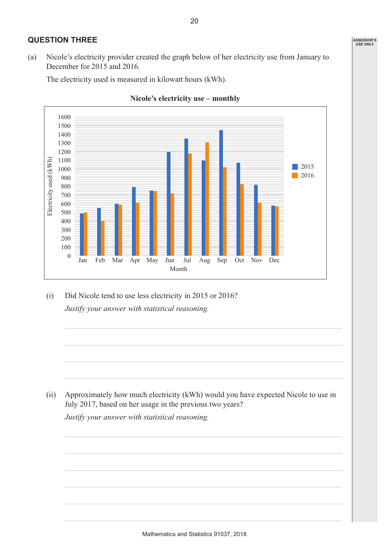### **QUESTION THREE**

(a) Nicole's electricity provider created the graph below of her electricity use from January to December for 2015 and 2016.

 The electricity used is measured in kilowatt hours (kWh).





 (i) Did Nicole tend to use less electricity in 2015 or 2016? *Justify your answer with statistical reasoning.*

 (ii) Approximately how much electricity (kWh) would you have expected Nicole to use in July 2017, based on her usage in the previous two years?

*Justify your answer with statistical reasoning.*

20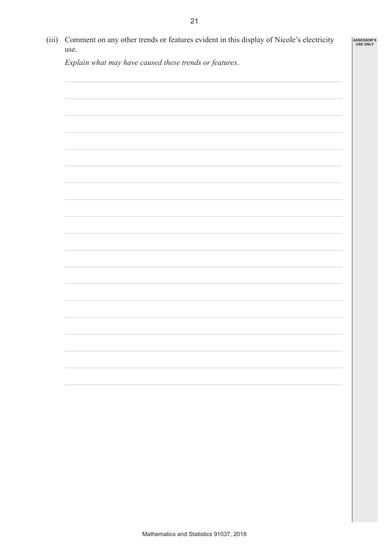| Comment on any other trends or features evident in this display of Nicole's electricity<br>use. |  |
|-------------------------------------------------------------------------------------------------|--|
| Explain what may have caused these trends or features.                                          |  |
|                                                                                                 |  |
|                                                                                                 |  |
|                                                                                                 |  |
|                                                                                                 |  |
|                                                                                                 |  |
|                                                                                                 |  |
|                                                                                                 |  |
|                                                                                                 |  |
|                                                                                                 |  |
|                                                                                                 |  |
|                                                                                                 |  |
|                                                                                                 |  |
|                                                                                                 |  |
|                                                                                                 |  |
|                                                                                                 |  |
|                                                                                                 |  |
|                                                                                                 |  |
|                                                                                                 |  |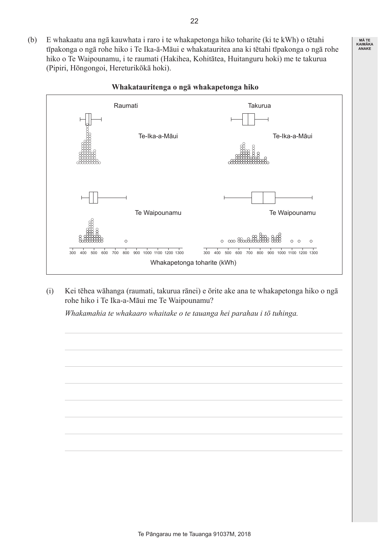(b) E whakaatu ana ngā kauwhata i raro i te whakapetonga hiko toharite (ki te kWh) o tētahi tīpakonga o ngā rohe hiko i Te Ika-ā-Māui e whakatauritea ana ki tētahi tīpakonga o ngā rohe hiko o Te Waipounamu, i te raumati (Hakihea, Kohitātea, Huitanguru hoki) me te takurua (Pipiri, Hōngongoi, Hereturikōkā hoki).



#### **Whakatauritenga o ngā whakapetonga hiko**

 (i) Kei tēhea wāhanga (raumati, takurua rānei) e ōrite ake ana te whakapetonga hiko o ngā rohe hiko i Te Ika-a-Māui me Te Waipounamu?

*Whakamahia te whakaaro whaitake o te tauanga hei parahau i tō tuhinga.*



22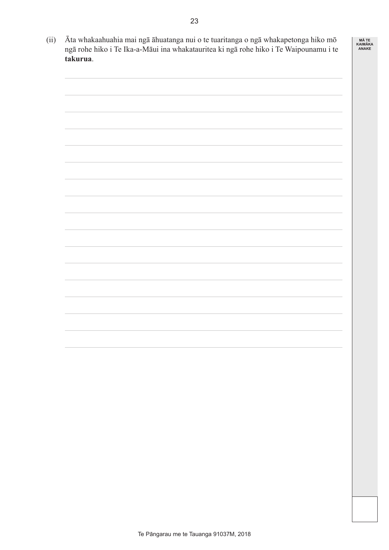

 (ii) Āta whakaahuahia mai ngā āhuatanga nui o te tuaritanga o ngā whakapetonga hiko mō ngā rohe hiko i Te Ika-a-Māui ina whakatauritea ki ngā rohe hiko i Te Waipounamu i te **takurua**.

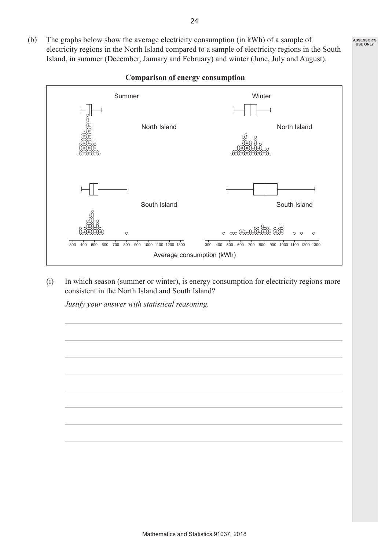(b) The graphs below show the average electricity consumption (in kWh) of a sample of electricity regions in the North Island compared to a sample of electricity regions in the South Island, in summer (December, January and February) and winter (June, July and August).



#### **Comparison of energy consumption**

(i) In which season (summer or winter), is energy consumption for electricity regions more consistent in the North Island and South Island?

*Justify your answer with statistical reasoning.*

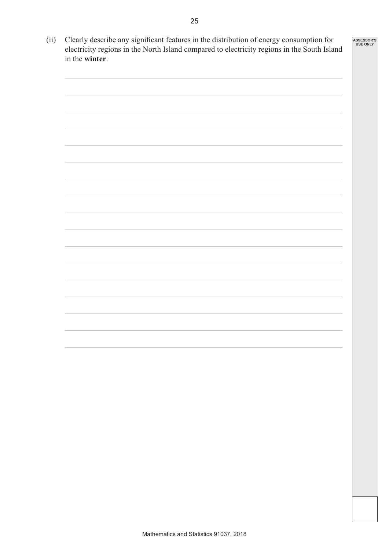| n for    | <b>ASSESSOR'S</b> |
|----------|-------------------|
| n Ioland | <b>USE ONLY</b>   |

| (ii) | Clearly describe any significant features in the distribution of energy consumption for<br>electricity regions in the North Island compared to electricity regions in the South Island |  |  |
|------|----------------------------------------------------------------------------------------------------------------------------------------------------------------------------------------|--|--|
|      | in the winter.                                                                                                                                                                         |  |  |
|      |                                                                                                                                                                                        |  |  |
|      |                                                                                                                                                                                        |  |  |
|      |                                                                                                                                                                                        |  |  |
|      |                                                                                                                                                                                        |  |  |
|      |                                                                                                                                                                                        |  |  |
|      |                                                                                                                                                                                        |  |  |
|      |                                                                                                                                                                                        |  |  |
|      |                                                                                                                                                                                        |  |  |
|      |                                                                                                                                                                                        |  |  |
|      |                                                                                                                                                                                        |  |  |
|      |                                                                                                                                                                                        |  |  |
|      |                                                                                                                                                                                        |  |  |
|      |                                                                                                                                                                                        |  |  |
|      |                                                                                                                                                                                        |  |  |
|      |                                                                                                                                                                                        |  |  |
|      |                                                                                                                                                                                        |  |  |
|      |                                                                                                                                                                                        |  |  |
|      |                                                                                                                                                                                        |  |  |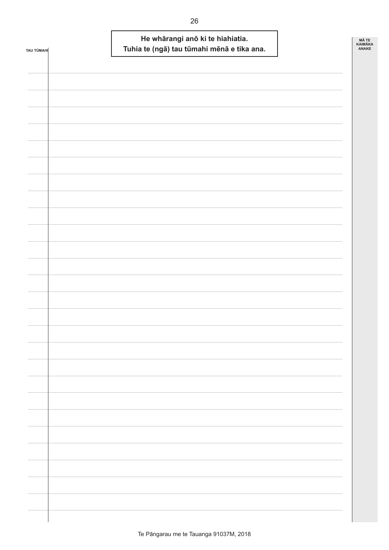| <b>TAU TÜMAHI</b> |  | He whārangi anō ki te hiahiatia.<br>Tuhia te (ngā) tau tūmahi mēnā e tika ana. | MÃ TE<br><b>KAIMÄKA</b><br>ANAKE |  |
|-------------------|--|--------------------------------------------------------------------------------|----------------------------------|--|
|                   |  |                                                                                |                                  |  |
|                   |  |                                                                                |                                  |  |
|                   |  |                                                                                |                                  |  |
|                   |  |                                                                                |                                  |  |
|                   |  |                                                                                |                                  |  |
|                   |  |                                                                                |                                  |  |
|                   |  |                                                                                |                                  |  |
|                   |  |                                                                                |                                  |  |
|                   |  |                                                                                |                                  |  |
|                   |  |                                                                                |                                  |  |
|                   |  |                                                                                |                                  |  |
|                   |  |                                                                                |                                  |  |
|                   |  |                                                                                |                                  |  |
|                   |  |                                                                                |                                  |  |
|                   |  |                                                                                |                                  |  |
|                   |  |                                                                                |                                  |  |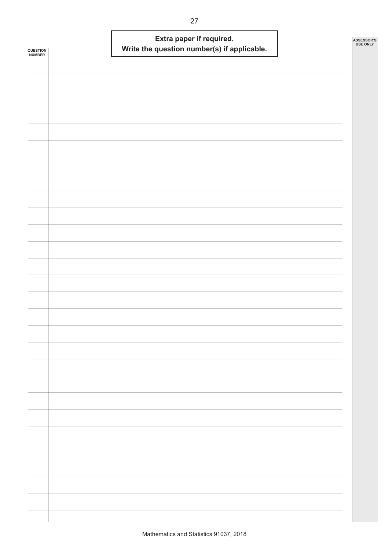| QUESTION<br><b>NUMBER</b> | Extra paper if required.<br>Write the question number(s) if applicable. | ASSESSOR'S<br><b>USE ONLY</b> |
|---------------------------|-------------------------------------------------------------------------|-------------------------------|
|                           |                                                                         |                               |
|                           |                                                                         |                               |
|                           |                                                                         |                               |
|                           |                                                                         |                               |
|                           |                                                                         |                               |
|                           |                                                                         |                               |
|                           |                                                                         |                               |
|                           |                                                                         |                               |
|                           |                                                                         |                               |
|                           |                                                                         |                               |
|                           |                                                                         |                               |
|                           |                                                                         |                               |
|                           |                                                                         |                               |
|                           |                                                                         |                               |
|                           |                                                                         |                               |
|                           |                                                                         |                               |
|                           |                                                                         |                               |
|                           |                                                                         |                               |
|                           |                                                                         |                               |
|                           |                                                                         |                               |
|                           |                                                                         |                               |
|                           |                                                                         |                               |
|                           |                                                                         |                               |
|                           |                                                                         |                               |
|                           |                                                                         |                               |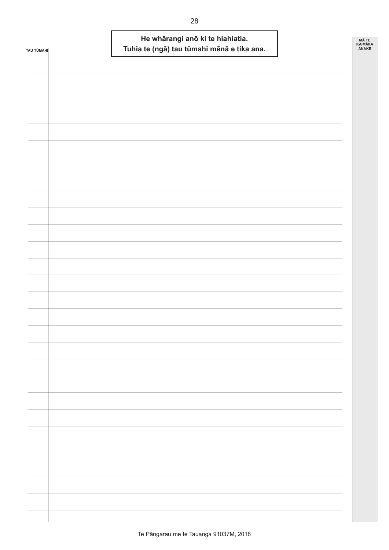| <b>TAU TÜMAHI</b> | He whārangi anō ki te hiahiatia.<br>Tuhia te (ngā) tau tūmahi mēnā e tika ana. | MÃ TE<br>KAIMĀKA<br>ANAKE |
|-------------------|--------------------------------------------------------------------------------|---------------------------|
|                   |                                                                                |                           |
|                   |                                                                                |                           |
|                   |                                                                                |                           |
|                   |                                                                                |                           |
|                   |                                                                                |                           |
|                   |                                                                                |                           |
|                   |                                                                                |                           |
|                   |                                                                                |                           |
|                   |                                                                                |                           |
|                   |                                                                                |                           |
|                   |                                                                                |                           |
|                   |                                                                                |                           |
|                   |                                                                                |                           |
|                   |                                                                                |                           |
|                   |                                                                                |                           |
|                   |                                                                                |                           |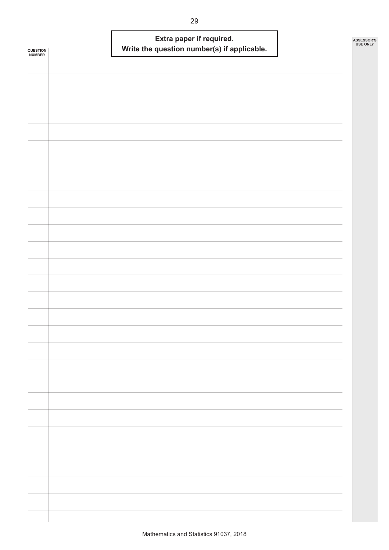| QUESTION<br><b>NUMBER</b> | Extra paper if required.<br>Write the question number(s) if applicable. | ASSESSOR'S<br><b>USE ONLY</b> |
|---------------------------|-------------------------------------------------------------------------|-------------------------------|
|                           |                                                                         |                               |
|                           |                                                                         |                               |
|                           |                                                                         |                               |
|                           |                                                                         |                               |
|                           |                                                                         |                               |
|                           |                                                                         |                               |
|                           |                                                                         |                               |
|                           |                                                                         |                               |
|                           |                                                                         |                               |
|                           |                                                                         |                               |
|                           |                                                                         |                               |
|                           |                                                                         |                               |
|                           |                                                                         |                               |
|                           |                                                                         |                               |
|                           |                                                                         |                               |
|                           |                                                                         |                               |
|                           |                                                                         |                               |
|                           |                                                                         |                               |
|                           |                                                                         |                               |
|                           |                                                                         |                               |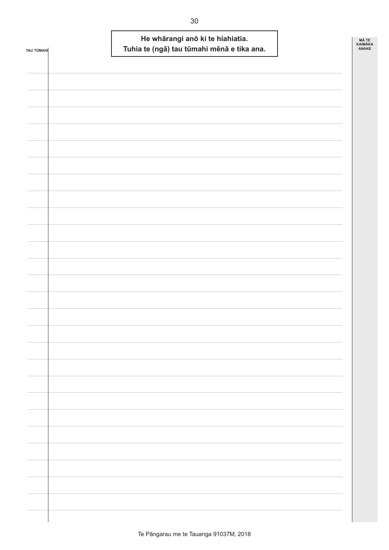| <b>TAU TÜMAHI</b> |  | He whārangi anō ki te hiahiatia.<br>Tuhia te (ngā) tau tūmahi mēnā e tika ana. | MÃ TE<br><b>KAIMÄKA</b><br>ANAKE |  |
|-------------------|--|--------------------------------------------------------------------------------|----------------------------------|--|
|                   |  |                                                                                |                                  |  |
|                   |  |                                                                                |                                  |  |
|                   |  |                                                                                |                                  |  |
|                   |  |                                                                                |                                  |  |
|                   |  |                                                                                |                                  |  |
|                   |  |                                                                                |                                  |  |
|                   |  |                                                                                |                                  |  |
|                   |  |                                                                                |                                  |  |
|                   |  |                                                                                |                                  |  |
|                   |  |                                                                                |                                  |  |
|                   |  |                                                                                |                                  |  |
|                   |  |                                                                                |                                  |  |
|                   |  |                                                                                |                                  |  |
|                   |  |                                                                                |                                  |  |
|                   |  |                                                                                |                                  |  |
|                   |  |                                                                                |                                  |  |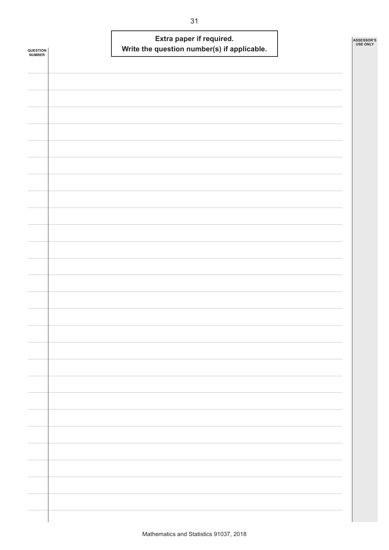| <b>QUESTION<br/>NUMBER</b> | Extra paper if required.<br>Write the question number(s) if applicable. | ASSESSOR'S<br><b>USE ONLY</b> |
|----------------------------|-------------------------------------------------------------------------|-------------------------------|
|                            |                                                                         |                               |
|                            |                                                                         |                               |
|                            |                                                                         |                               |
|                            |                                                                         |                               |
|                            |                                                                         |                               |
|                            |                                                                         |                               |
|                            |                                                                         |                               |
|                            |                                                                         |                               |
|                            |                                                                         |                               |
|                            |                                                                         |                               |
|                            |                                                                         |                               |
|                            |                                                                         |                               |
|                            |                                                                         |                               |
|                            |                                                                         |                               |
|                            |                                                                         |                               |
|                            |                                                                         |                               |
|                            |                                                                         |                               |
|                            |                                                                         |                               |
|                            |                                                                         |                               |
|                            |                                                                         |                               |
|                            |                                                                         |                               |
|                            |                                                                         |                               |
|                            |                                                                         |                               |
|                            |                                                                         |                               |
|                            |                                                                         |                               |
|                            |                                                                         |                               |